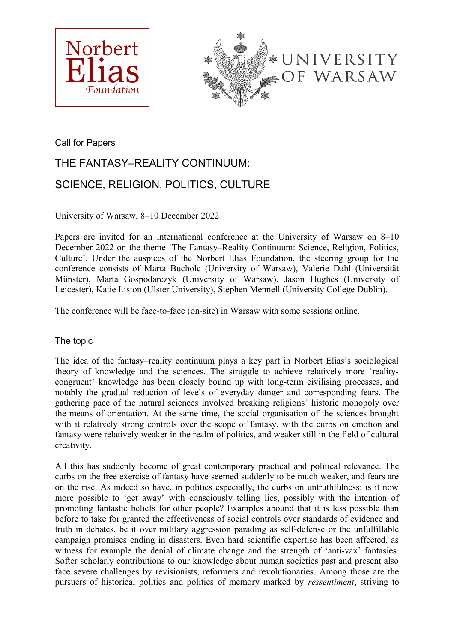



Call for Papers

# THE FANTASY–REALITY CONTINUUM: SCIENCE, RELIGION, POLITICS, CULTURE

University of Warsaw, 8–10 December 2022

Papers are invited for an international conference at the University of Warsaw on 8–10 December 2022 on the theme 'The Fantasy–Reality Continuum: Science, Religion, Politics, Culture'. Under the auspices of the Norbert Elias Foundation, the steering group for the conference consists of Marta Bucholc (University of Warsaw), Valerie Dahl (Universität Münster), Marta Gospodarczyk (University of Warsaw), Jason Hughes (University of Leicester), Katie Liston (Ulster University), Stephen Mennell (University College Dublin).

The conference will be face-to-face (on-site) in Warsaw with some sessions online.

# The topic

The idea of the fantasy–reality continuum plays a key part in Norbert Elias's sociological theory of knowledge and the sciences. The struggle to achieve relatively more 'realitycongruent' knowledge has been closely bound up with long-term civilising processes, and notably the gradual reduction of levels of everyday danger and corresponding fears. The gathering pace of the natural sciences involved breaking religions' historic monopoly over the means of orientation. At the same time, the social organisation of the sciences brought with it relatively strong controls over the scope of fantasy, with the curbs on emotion and fantasy were relatively weaker in the realm of politics, and weaker still in the field of cultural creativity.

All this has suddenly become of great contemporary practical and political relevance. The curbs on the free exercise of fantasy have seemed suddenly to be much weaker, and fears are on the rise. As indeed so have, in politics especially, the curbs on untruthfulness: is it now more possible to 'get away' with consciously telling lies, possibly with the intention of promoting fantastic beliefs for other people? Examples abound that it is less possible than before to take for granted the effectiveness of social controls over standards of evidence and truth in debates, be it over military aggression parading as self-defense or the unfulfillable campaign promises ending in disasters. Even hard scientific expertise has been affected, as witness for example the denial of climate change and the strength of 'anti-vax' fantasies. Softer scholarly contributions to our knowledge about human societies past and present also face severe challenges by revisionists, reformers and revolutionaries. Among those are the pursuers of historical politics and politics of memory marked by *ressentiment*, striving to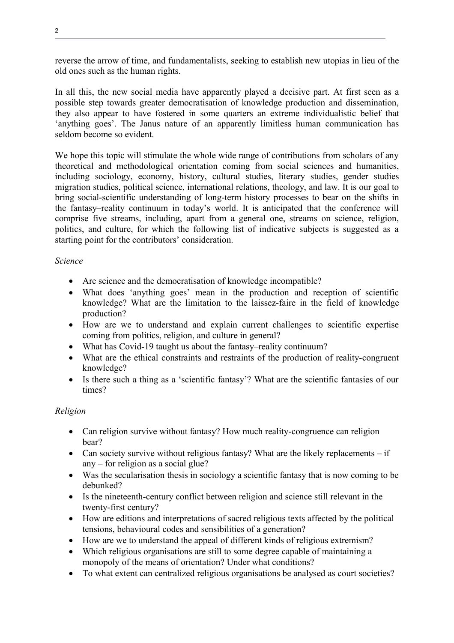reverse the arrow of time, and fundamentalists, seeking to establish new utopias in lieu of the old ones such as the human rights.

In all this, the new social media have apparently played a decisive part. At first seen as a possible step towards greater democratisation of knowledge production and dissemination, they also appear to have fostered in some quarters an extreme individualistic belief that 'anything goes'. The Janus nature of an apparently limitless human communication has seldom become so evident.

We hope this topic will stimulate the whole wide range of contributions from scholars of any theoretical and methodological orientation coming from social sciences and humanities, including sociology, economy, history, cultural studies, literary studies, gender studies migration studies, political science, international relations, theology, and law. It is our goal to bring social-scientific understanding of long-term history processes to bear on the shifts in the fantasy–reality continuum in today's world. It is anticipated that the conference will comprise five streams, including, apart from a general one, streams on science, religion, politics, and culture, for which the following list of indicative subjects is suggested as a starting point for the contributors' consideration.

#### *Science*

- Are science and the democratisation of knowledge incompatible?
- What does 'anything goes' mean in the production and reception of scientific knowledge? What are the limitation to the laissez-faire in the field of knowledge production?
- How are we to understand and explain current challenges to scientific expertise coming from politics, religion, and culture in general?
- What has Covid-19 taught us about the fantasy–reality continuum?
- What are the ethical constraints and restraints of the production of reality-congruent knowledge?
- Is there such a thing as a 'scientific fantasy'? What are the scientific fantasies of our times?

## *Religion*

- Can religion survive without fantasy? How much reality-congruence can religion bear?
- Can society survive without religious fantasy? What are the likely replacements  $-$  if any – for religion as a social glue?
- Was the secularisation thesis in sociology a scientific fantasy that is now coming to be debunked?
- Is the nineteenth-century conflict between religion and science still relevant in the twenty-first century?
- How are editions and interpretations of sacred religious texts affected by the political tensions, behavioural codes and sensibilities of a generation?
- How are we to understand the appeal of different kinds of religious extremism?
- Which religious organisations are still to some degree capable of maintaining a monopoly of the means of orientation? Under what conditions?
- To what extent can centralized religious organisations be analysed as court societies?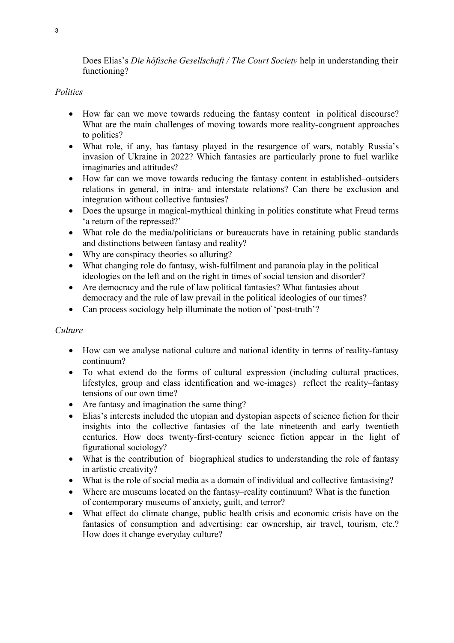Does Elias's *Die höfische Gesellschaft / The Court Society* help in understanding their functioning?

## *Politics*

- How far can we move towards reducing the fantasy content in political discourse? What are the main challenges of moving towards more reality-congruent approaches to politics?
- What role, if any, has fantasy played in the resurgence of wars, notably Russia's invasion of Ukraine in 2022? Which fantasies are particularly prone to fuel warlike imaginaries and attitudes?
- How far can we move towards reducing the fantasy content in established–outsiders relations in general, in intra- and interstate relations? Can there be exclusion and integration without collective fantasies?
- Does the upsurge in magical-mythical thinking in politics constitute what Freud terms 'a return of the repressed?'
- What role do the media/politicians or bureaucrats have in retaining public standards and distinctions between fantasy and reality?
- Why are conspiracy theories so alluring?
- What changing role do fantasy, wish-fulfilment and paranoia play in the political ideologies on the left and on the right in times of social tension and disorder?
- Are democracy and the rule of law political fantasies? What fantasies about democracy and the rule of law prevail in the political ideologies of our times?
- Can process sociology help illuminate the notion of 'post-truth'?

## *Culture*

- How can we analyse national culture and national identity in terms of reality-fantasy continuum?
- To what extend do the forms of cultural expression (including cultural practices, lifestyles, group and class identification and we-images) reflect the reality–fantasy tensions of our own time?
- Are fantasy and imagination the same thing?
- Elias's interests included the utopian and dystopian aspects of science fiction for their insights into the collective fantasies of the late nineteenth and early twentieth centuries. How does twenty-first-century science fiction appear in the light of figurational sociology?
- What is the contribution of biographical studies to understanding the role of fantasy in artistic creativity?
- What is the role of social media as a domain of individual and collective fantasising?
- Where are museums located on the fantasy–reality continuum? What is the function of contemporary museums of anxiety, guilt, and terror?
- What effect do climate change, public health crisis and economic crisis have on the fantasies of consumption and advertising: car ownership, air travel, tourism, etc.? How does it change everyday culture?